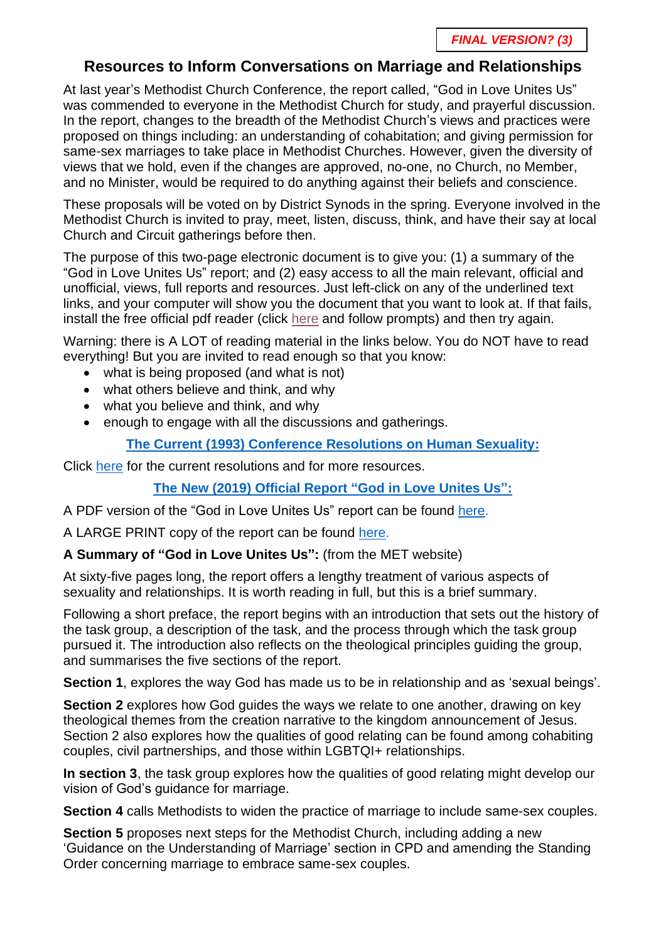### **Resources to Inform Conversations on Marriage and Relationships**

At last year's Methodist Church Conference, the report called, "God in Love Unites Us" was commended to everyone in the Methodist Church for study, and prayerful discussion. In the report, changes to the breadth of the Methodist Church's views and practices were proposed on things including: an understanding of cohabitation; and giving permission for same-sex marriages to take place in Methodist Churches. However, given the diversity of views that we hold, even if the changes are approved, no-one, no Church, no Member, and no Minister, would be required to do anything against their beliefs and conscience.

These proposals will be voted on by District Synods in the spring. Everyone involved in the Methodist Church is invited to pray, meet, listen, discuss, think, and have their say at local Church and Circuit gatherings before then.

The purpose of this two-page electronic document is to give you: (1) a summary of the "God in Love Unites Us" report; and (2) easy access to all the main relevant, official and unofficial, views, full reports and resources. Just left-click on any of the underlined text links, and your computer will show you the document that you want to look at. If that fails, install the free official pdf reader (click [here](https://get.adobe.com/reader/?loc=uk) and follow prompts) and then try again.

Warning: there is A LOT of reading material in the links below. You do NOT have to read everything! But you are invited to read enough so that you know:

- what is being proposed (and what is not)
- what others believe and think, and why
- what you believe and think, and why
- enough to engage with all the discussions and gatherings.

### **[The Current \(1993\) Conference Resolutions on Human Sexuality:](https://www.methodist.org.uk/about-us/the-methodist-church/views-of-the-church/human-sexuality-including-gay-and-lesbian-issues/)**

Click [here](https://www.methodist.org.uk/about-us/the-methodist-church/views-of-the-church/human-sexuality-including-gay-and-lesbian-issues/) for the current resolutions and for more resources.

### **The New (2019) Official Report ["God in Love Unites Us":](https://www.methodist.org.uk/media/12357/conf-2019-10-marriage-and-relationships-task-group-2019-170719.pdf)**

A PDF version of the "God in Love Unites Us" report can be found [here.](https://www.methodist.org.uk/media/12357/conf-2019-10-marriage-and-relationships-task-group-2019-170719.pdf)

A LARGE PRINT copy of the report can be found [here.](https://www.methodist.org.uk/media/12364/conf-2019-10-marriage-and-relationships-task-group-2019-170719-large-print.pdf)

### **A Summary of "God in Love Unites Us":** (from the MET website)

At sixty-five pages long, the report offers a lengthy treatment of various aspects of sexuality and relationships. It is worth reading in full, but this is a brief summary.

Following a short preface, the report begins with an introduction that sets out the history of the task group, a description of the task, and the process through which the task group pursued it. The introduction also reflects on the theological principles guiding the group, and summarises the five sections of the report.

**Section 1**, explores the way God has made us to be in relationship and as 'sexual beings'.

**Section 2** explores how God guides the ways we relate to one another, drawing on key theological themes from the creation narrative to the kingdom announcement of Jesus. Section 2 also explores how the qualities of good relating can be found among cohabiting couples, civil partnerships, and those within LGBTQI+ relationships.

**In section 3**, the task group explores how the qualities of good relating might develop our vision of God's guidance for marriage.

**Section 4** calls Methodists to widen the practice of marriage to include same-sex couples.

**Section 5** proposes next steps for the Methodist Church, including adding a new 'Guidance on the Understanding of Marriage' section in CPD and amending the Standing Order concerning marriage to embrace same-sex couples.